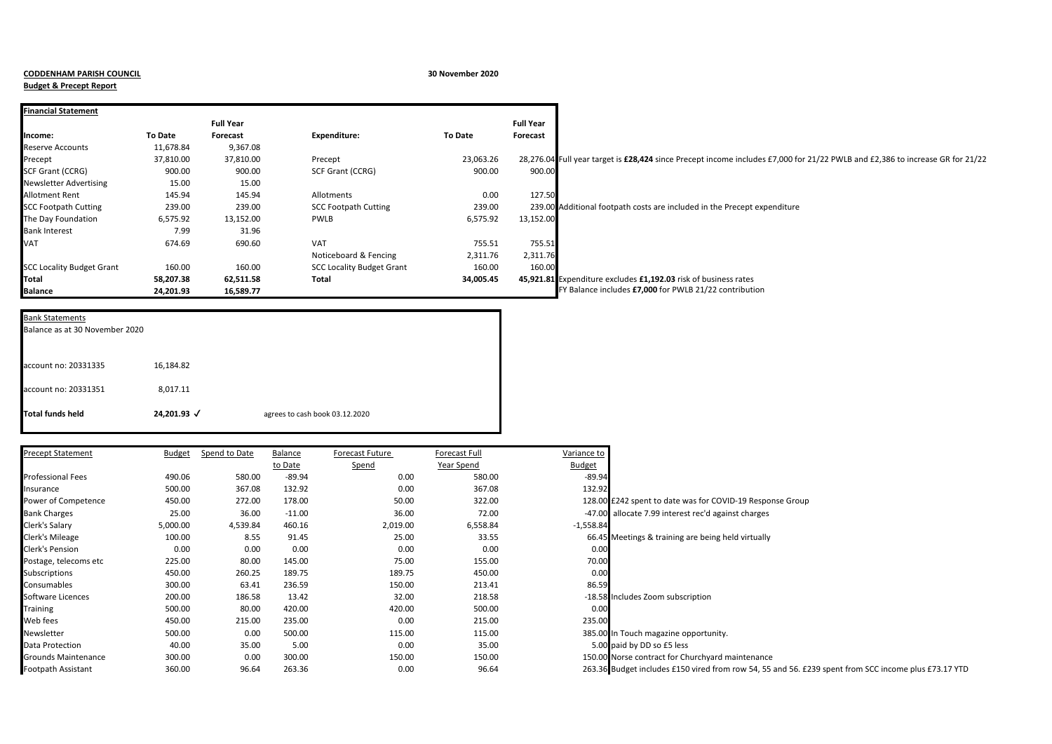## **CODDENHAM PARISH COUNCIL 30 November 2020**

**Budget & Precept Report**

| <b>Financial Statement</b>       |                |                  |                                  |                |                  |                                                                                                                               |
|----------------------------------|----------------|------------------|----------------------------------|----------------|------------------|-------------------------------------------------------------------------------------------------------------------------------|
|                                  |                | <b>Full Year</b> |                                  |                | <b>Full Year</b> |                                                                                                                               |
| Income:                          | <b>To Date</b> | Forecast         | Expenditure:                     | <b>To Date</b> | Forecast         |                                                                                                                               |
| Reserve Accounts                 | 11,678.84      | 9,367.08         |                                  |                |                  |                                                                                                                               |
| Precept                          | 37,810.00      | 37,810.00        | Precept                          | 23,063.26      |                  | 28,276.04 Full year target is £28,424 since Precept income includes £7,000 for 21/22 PWLB and £2,386 to increase GR for 21/22 |
| SCF Grant (CCRG)                 | 900.00         | 900.00           | <b>SCF Grant (CCRG)</b>          | 900.00         | 900.00           |                                                                                                                               |
| Newsletter Advertising           | 15.00          | 15.00            |                                  |                |                  |                                                                                                                               |
| Allotment Rent                   | 145.94         | 145.94           | Allotments                       | 0.00           | 127.50           |                                                                                                                               |
| <b>SCC Footpath Cutting</b>      | 239.00         | 239.00           | <b>SCC Footpath Cutting</b>      | 239.00         |                  | 239.00 Additional footpath costs are included in the Precept expenditure                                                      |
| The Day Foundation               | 6,575.92       | 13,152.00        | PWLB                             | 6,575.92       | 13,152.00        |                                                                                                                               |
| <b>Bank Interest</b>             | 7.99           | 31.96            |                                  |                |                  |                                                                                                                               |
| VAT                              | 674.69         | 690.60           | <b>VAT</b>                       | 755.51         | 755.51           |                                                                                                                               |
|                                  |                |                  | Noticeboard & Fencing            | 2,311.76       | 2,311.76         |                                                                                                                               |
| <b>SCC Locality Budget Grant</b> | 160.00         | 160.00           | <b>SCC Locality Budget Grant</b> | 160.00         | 160.00           |                                                                                                                               |
| Total                            | 58,207.38      | 62,511.58        | Total                            | 34,005.45      |                  | 45,921.81 Expenditure excludes £1,192.03 risk of business rates                                                               |
| <b>Balance</b>                   | 24,201.93      | 16,589.77        |                                  |                |                  | FY Balance includes £7,000 for PWLB 21/22 contribution                                                                        |

| <b>Bank Statements</b><br>Balance as at 30 November 2020 |             |                                |
|----------------------------------------------------------|-------------|--------------------------------|
| account no: 20331335                                     | 16,184.82   |                                |
| account no: 20331351                                     | 8,017.11    |                                |
| <b>Total funds held</b>                                  | 24,201.93 √ | agrees to cash book 03.12.2020 |

| Precept Statement          | Budget   | Spend to Date | Balance  | Forecast Future | Forecast Full | Variance to   |                                                                                                      |
|----------------------------|----------|---------------|----------|-----------------|---------------|---------------|------------------------------------------------------------------------------------------------------|
|                            |          |               | to Date  | Spend           | Year Spend    | <u>Budget</u> |                                                                                                      |
| Professional Fees          | 490.06   | 580.00        | $-89.94$ | 0.00            | 580.00        | $-89.94$      |                                                                                                      |
| nsurance                   | 500.00   | 367.08        | 132.92   | 0.00            | 367.08        | 132.92        |                                                                                                      |
| Power of Competence        | 450.00   | 272.00        | 178.00   | 50.00           | 322.00        |               | 128.00 £242 spent to date was for COVID-19 Response Group                                            |
| <b>Bank Charges</b>        | 25.00    | 36.00         | $-11.00$ | 36.00           | 72.00         |               | -47.00 allocate 7.99 interest rec'd against charges                                                  |
| Clerk's Salary             | 5,000.00 | 4,539.84      | 460.16   | 2,019.00        | 6,558.84      | $-1,558.84$   |                                                                                                      |
| Clerk's Mileage            | 100.00   | 8.55          | 91.45    | 25.00           | 33.55         |               | 66.45 Meetings & training are being held virtually                                                   |
| Clerk's Pension            | 0.00     | 0.00          | 0.00     | 0.00            | 0.00          | 0.00          |                                                                                                      |
| Postage, telecoms etc      | 225.00   | 80.00         | 145.00   | 75.00           | 155.00        | 70.00         |                                                                                                      |
| Subscriptions              | 450.00   | 260.25        | 189.75   | 189.75          | 450.00        | 0.00          |                                                                                                      |
| Consumables                | 300.00   | 63.41         | 236.59   | 150.00          | 213.41        | 86.59         |                                                                                                      |
| Software Licences          | 200.00   | 186.58        | 13.42    | 32.00           | 218.58        |               | -18.58 Includes Zoom subscription                                                                    |
| Training                   | 500.00   | 80.00         | 420.00   | 420.00          | 500.00        | 0.00          |                                                                                                      |
| Web fees                   | 450.00   | 215.00        | 235.00   | 0.00            | 215.00        | 235.00        |                                                                                                      |
| Newsletter                 | 500.00   | 0.00          | 500.00   | 115.00          | 115.00        |               | 385.00 In Touch magazine opportunity.                                                                |
| Data Protection            | 40.00    | 35.00         | 5.00     | 0.00            | 35.00         |               | 5.00 paid by DD so £5 less                                                                           |
| <b>Grounds Maintenance</b> | 300.00   | 0.00          | 300.00   | 150.00          | 150.00        |               | 150.00 Norse contract for Churchyard maintenance                                                     |
| Footpath Assistant         | 360.00   | 96.64         | 263.36   | 0.00            | 96.64         |               | 263.36 Budget includes £150 vired from row 54, 55 and 56. £239 spent from SCC income plus £73.17 YTD |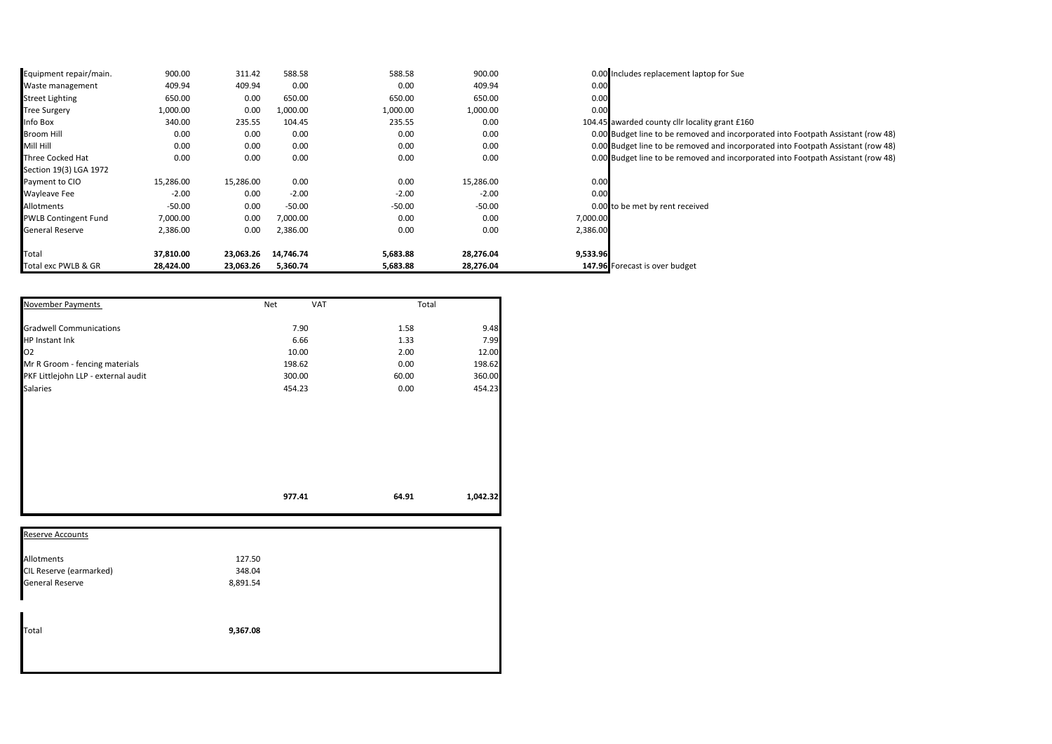| Equipment repair/main.      | 900.00    | 311.42    | 588.58    | 588.58   | 900.00    | 0.00 Includes replacement laptop for Sue                                         |
|-----------------------------|-----------|-----------|-----------|----------|-----------|----------------------------------------------------------------------------------|
| Waste management            | 409.94    | 409.94    | 0.00      | 0.00     | 409.94    | 0.00                                                                             |
| Street Lighting             | 650.00    | 0.00      | 650.00    | 650.00   | 650.00    | 0.00                                                                             |
| <b>Tree Surgery</b>         | 1,000.00  | 0.00      | 1,000.00  | 1,000.00 | 1,000.00  | 0.00                                                                             |
| Info Box                    | 340.00    | 235.55    | 104.45    | 235.55   | 0.00      | 104.45 awarded county cllr locality grant £160                                   |
| Broom Hill                  | 0.00      | 0.00      | 0.00      | 0.00     | 0.00      | 0.00 Budget line to be removed and incorporated into Footpath Assistant (row 48) |
| Mill Hill                   | 0.00      | 0.00      | 0.00      | 0.00     | 0.00      | 0.00 Budget line to be removed and incorporated into Footpath Assistant (row 48) |
| Three Cocked Hat            | 0.00      | 0.00      | 0.00      | 0.00     | 0.00      | 0.00 Budget line to be removed and incorporated into Footpath Assistant (row 48) |
| Section 19(3) LGA 1972      |           |           |           |          |           |                                                                                  |
| Payment to CIO              | 15,286.00 | 15,286.00 | 0.00      | 0.00     | 15,286.00 | 0.00                                                                             |
| <b>Wayleave Fee</b>         | $-2.00$   | 0.00      | $-2.00$   | $-2.00$  | $-2.00$   | 0.00                                                                             |
| Allotments                  | $-50.00$  | 0.00      | $-50.00$  | $-50.00$ | $-50.00$  | 0.00 to be met by rent received                                                  |
| <b>PWLB Contingent Fund</b> | 7,000.00  | 0.00      | 7,000.00  | 0.00     | 0.00      | 7,000.00                                                                         |
| General Reserve             | 2,386.00  | 0.00      | 2,386.00  | 0.00     | 0.00      | 2,386.00                                                                         |
| Total                       | 37,810.00 | 23,063.26 | 14,746.74 | 5,683.88 | 28,276.04 | 9,533.96                                                                         |
| Total exc PWLB & GR         | 28,424.00 | 23,063.26 | 5,360.74  | 5,683.88 | 28,276.04 | 147.96 Forecast is over budget                                                   |

| November Payments                   | Net<br><b>VAT</b> | Total |          |
|-------------------------------------|-------------------|-------|----------|
| <b>Gradwell Communications</b>      | 7.90              | 1.58  | 9.48     |
| HP Instant Ink                      | 6.66              | 1.33  | 7.99     |
| 02                                  | 10.00             | 2.00  | 12.00    |
| Mr R Groom - fencing materials      | 198.62            | 0.00  | 198.62   |
| PKF Littlejohn LLP - external audit | 300.00            | 60.00 | 360.00   |
| <b>Salaries</b>                     | 454.23            | 0.00  | 454.23   |
|                                     |                   |       |          |
|                                     | 977.41            | 64.91 | 1,042.32 |

| Allotments<br>127.50               |
|------------------------------------|
|                                    |
| CIL Reserve (earmarked)<br>348.04  |
| <b>General Reserve</b><br>8,891.54 |
| Total<br>9,367.08                  |